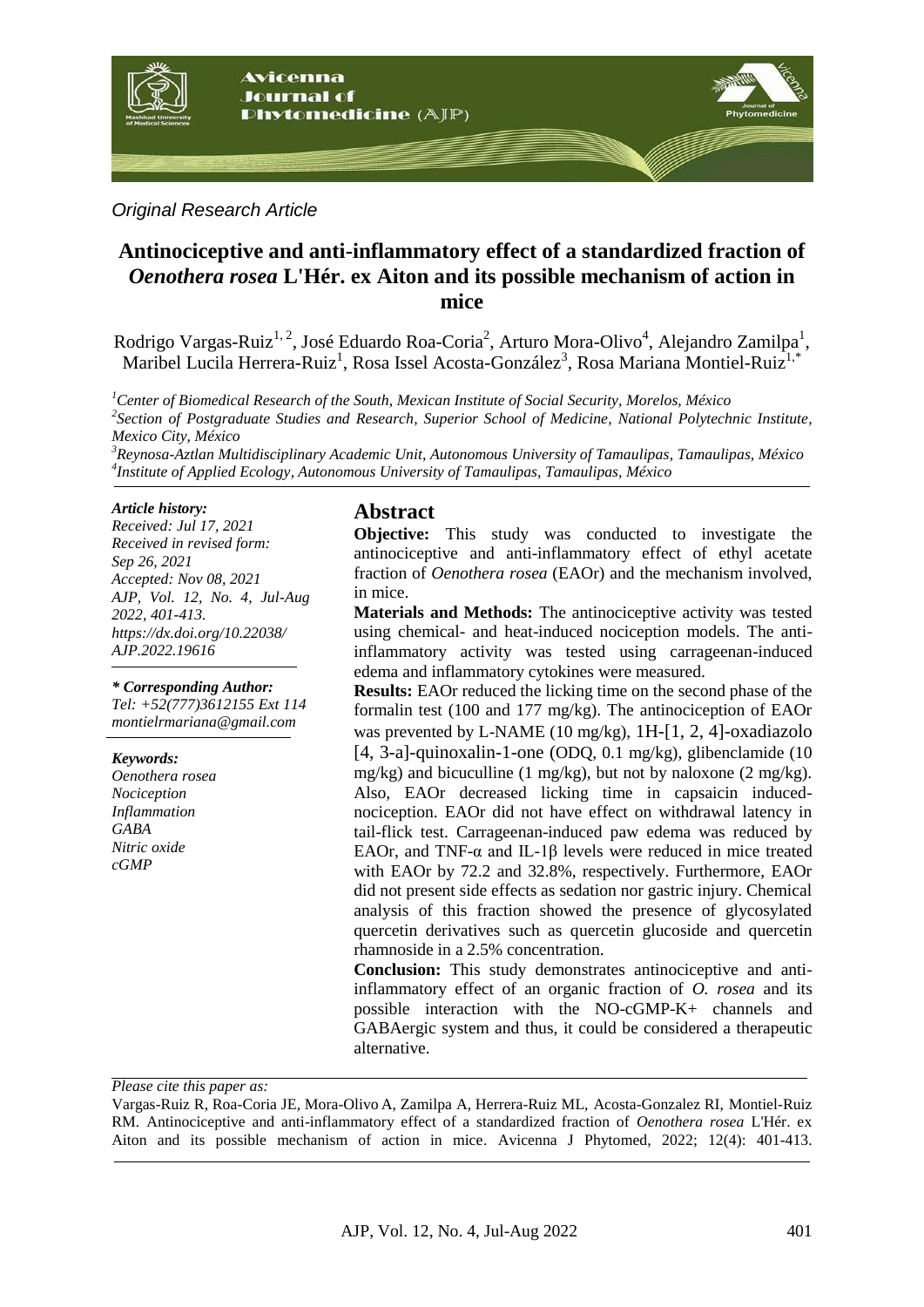

#### *Original Research Article*

# **Antinociceptive and anti-inflammatory effect of a standardized fraction of**  *Oenothera rosea* **L'Hér. ex Aiton and its possible mechanism of action in mice**

Rodrigo Vargas-Ruiz<sup>1, 2</sup>, José Eduardo Roa-Coria<sup>2</sup>, Arturo Mora-Olivo<sup>4</sup>, Alejandro Zamilpa<sup>1</sup>, Maribel Lucila Herrera-Ruiz<sup>1</sup>, Rosa Issel Acosta-González<sup>3</sup>, Rosa Mariana Montiel-Ruiz<sup>1,\*</sup>

*<sup>1</sup>Center of Biomedical Research of the South, Mexican Institute of Social Security, Morelos, México 2 Section of Postgraduate Studies and Research, Superior School of Medicine, National Polytechnic Institute, Mexico City, México*

*<sup>3</sup>Reynosa-Aztlan Multidisciplinary Academic Unit, Autonomous University of Tamaulipas, Tamaulipas, México 4 Institute of Applied Ecology, Autonomous University of Tamaulipas, Tamaulipas, México*

#### *Article history:*

*Received: Jul 17, 2021 Received in revised form: Sep 26, 2021 Accepted: Nov 08, 2021 AJP, Vol. 12, No. 4, Jul-Aug 2022, 401-413. https://dx.doi.org/10.22038/ AJP.2022.19616*

#### *\* Corresponding Author:*

*Tel: +52(777)3612155 Ext 114 [montielrmariana@gmail.com](mailto:montielrmariana@gmail.com)*

#### *Keywords:*

*Oenothera rosea Nociception Inflammation GABA Nitric oxide cGMP*

## **Abstract**

**Objective:** This study was conducted to investigate the antinociceptive and anti-inflammatory effect of ethyl acetate fraction of *Oenothera rosea* (EAOr) and the mechanism involved, in mice.

**Materials and Methods:** The antinociceptive activity was tested using chemical- and heat-induced nociception models. The antiinflammatory activity was tested using carrageenan-induced edema and inflammatory cytokines were measured.

**Results:** EAOr reduced the licking time on the second phase of the formalin test (100 and 177 mg/kg). The antinociception of EAOr was prevented by L-NAME (10 mg/kg), 1H-[1, 2, 4]-oxadiazolo [4, 3-a]-quinoxalin-1-one (ODQ, 0.1 mg/kg), glibenclamide (10 mg/kg) and bicuculline (1 mg/kg), but not by naloxone (2 mg/kg). Also, EAOr decreased licking time in capsaicin inducednociception. EAOr did not have effect on withdrawal latency in tail-flick test. Carrageenan-induced paw edema was reduced by EAOr, and TNF- $\alpha$  and IL-1 $\beta$  levels were reduced in mice treated with EAOr by 72.2 and 32.8%, respectively. Furthermore, EAOr did not present side effects as sedation nor gastric injury. Chemical analysis of this fraction showed the presence of glycosylated quercetin derivatives such as quercetin glucoside and quercetin rhamnoside in a 2.5% concentration.

**Conclusion:** This study demonstrates antinociceptive and antiinflammatory effect of an organic fraction of *O. rosea* and its possible interaction with the NO-cGMP-K+ channels and GABAergic system and thus, it could be considered a therapeutic alternative.

*Please cite this paper as:* 

Vargas-Ruiz R, Roa-Coria JE, Mora-Olivo A, Zamilpa A, Herrera-Ruiz ML, Acosta-Gonzalez RI, Montiel-Ruiz RM. Antinociceptive and anti-inflammatory effect of a standardized fraction of *Oenothera rosea* L'Hér. ex Aiton and its possible mechanism of action in mice. Avicenna J Phytomed, 2022; 12(4): 401-413.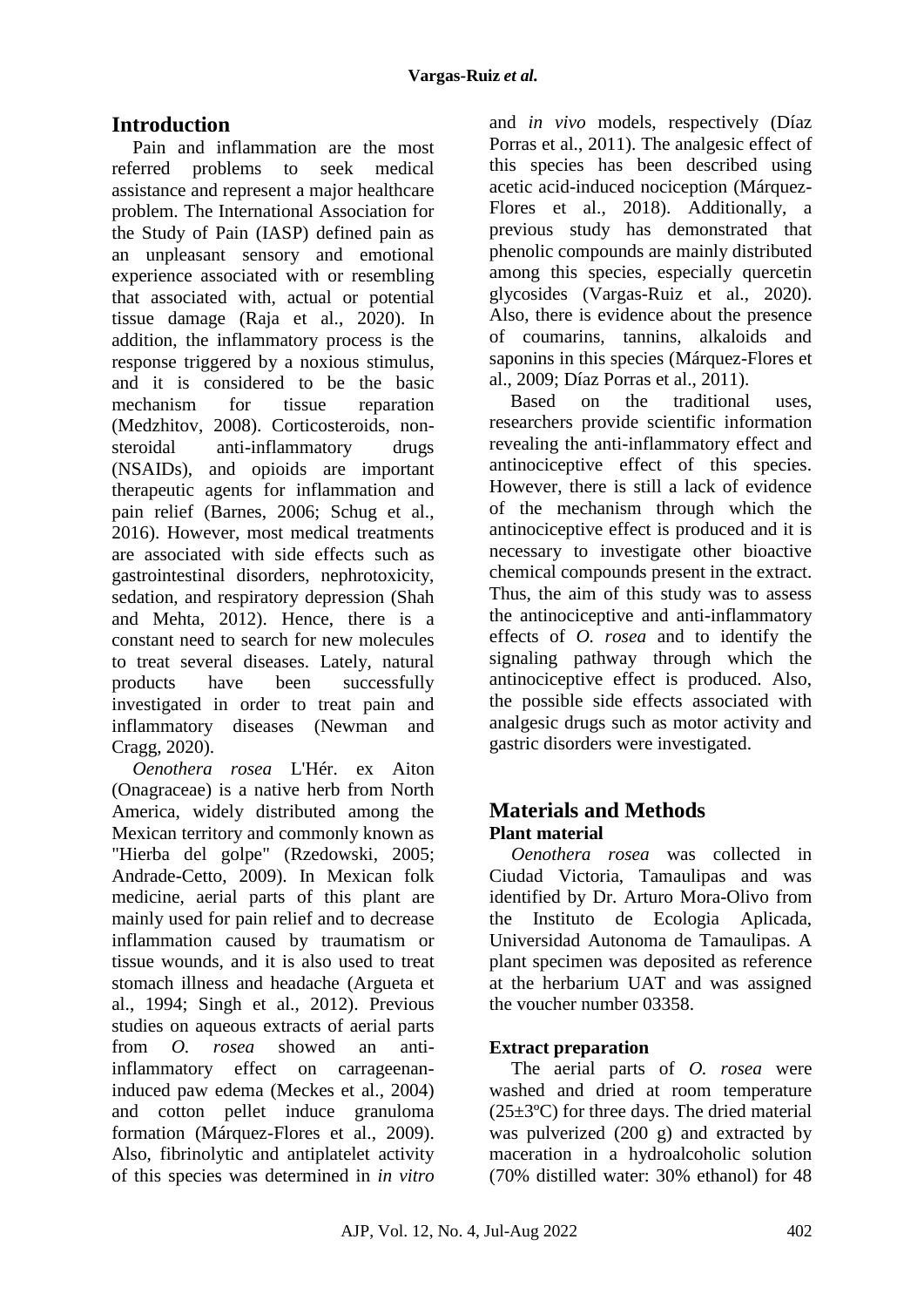# **Introduction**

Pain and inflammation are the most referred problems to seek medical assistance and represent a major healthcare problem. The International Association for the Study of Pain (IASP) defined pain as an unpleasant sensory and emotional experience associated with or resembling that associated with, actual or potential tissue damage (Raja et al., 2020). In addition, the inflammatory process is the response triggered by a noxious stimulus, and it is considered to be the basic mechanism for tissue reparation (Medzhitov, 2008). Corticosteroids, nonsteroidal anti-inflammatory drugs (NSAIDs), and opioids are important therapeutic agents for inflammation and pain relief (Barnes, 2006; Schug et al., 2016). However, most medical treatments are associated with side effects such as gastrointestinal disorders, nephrotoxicity, sedation, and respiratory depression (Shah and Mehta, 2012). Hence, there is a constant need to search for new molecules to treat several diseases. Lately, natural products have been successfully investigated in order to treat pain and inflammatory diseases (Newman and Cragg, 2020).

*Oenothera rosea* L'Hér. ex Aiton (Onagraceae) is a native herb from North America, widely distributed among the Mexican territory and commonly known as "Hierba del golpe" (Rzedowski, 2005; Andrade-Cetto, 2009). In Mexican folk medicine, aerial parts of this plant are mainly used for pain relief and to decrease inflammation caused by traumatism or tissue wounds, and it is also used to treat stomach illness and headache (Argueta et al., 1994; Singh et al., 2012). Previous studies on aqueous extracts of aerial parts from *O. rosea* showed an antiinflammatory effect on carrageenaninduced paw edema (Meckes et al., 2004) and cotton pellet induce granuloma formation (Márquez-Flores et al., 2009). Also, fibrinolytic and antiplatelet activity of this species was determined in *in vitro*

and *in vivo* models, respectively (Díaz Porras et al., 2011). The analgesic effect of this species has been described using acetic acid-induced nociception (Márquez-Flores et al., 2018). Additionally, a previous study has demonstrated that phenolic compounds are mainly distributed among this species, especially quercetin glycosides (Vargas-Ruiz et al., 2020). Also, there is evidence about the presence of coumarins, tannins, alkaloids and saponins in this species (Márquez-Flores et al., 2009; Díaz Porras et al., 2011).

Based on the traditional uses, researchers provide scientific information revealing the anti-inflammatory effect and antinociceptive effect of this species. However, there is still a lack of evidence of the mechanism through which the antinociceptive effect is produced and it is necessary to investigate other bioactive chemical compounds present in the extract. Thus, the aim of this study was to assess the antinociceptive and anti-inflammatory effects of *O. rosea* and to identify the signaling pathway through which the antinociceptive effect is produced. Also, the possible side effects associated with analgesic drugs such as motor activity and gastric disorders were investigated.

# **Materials and Methods Plant material**

*Oenothera rosea* was collected in Ciudad Victoria, Tamaulipas and was identified by Dr. Arturo Mora-Olivo from the Instituto de Ecologia Aplicada, Universidad Autonoma de Tamaulipas. A plant specimen was deposited as reference at the herbarium UAT and was assigned the voucher number 03358.

## **Extract preparation**

The aerial parts of *O. rosea* were washed and dried at room temperature  $(25\pm3\degree C)$  for three days. The dried material was pulverized (200 g) and extracted by maceration in a hydroalcoholic solution (70% distilled water: 30% ethanol) for 48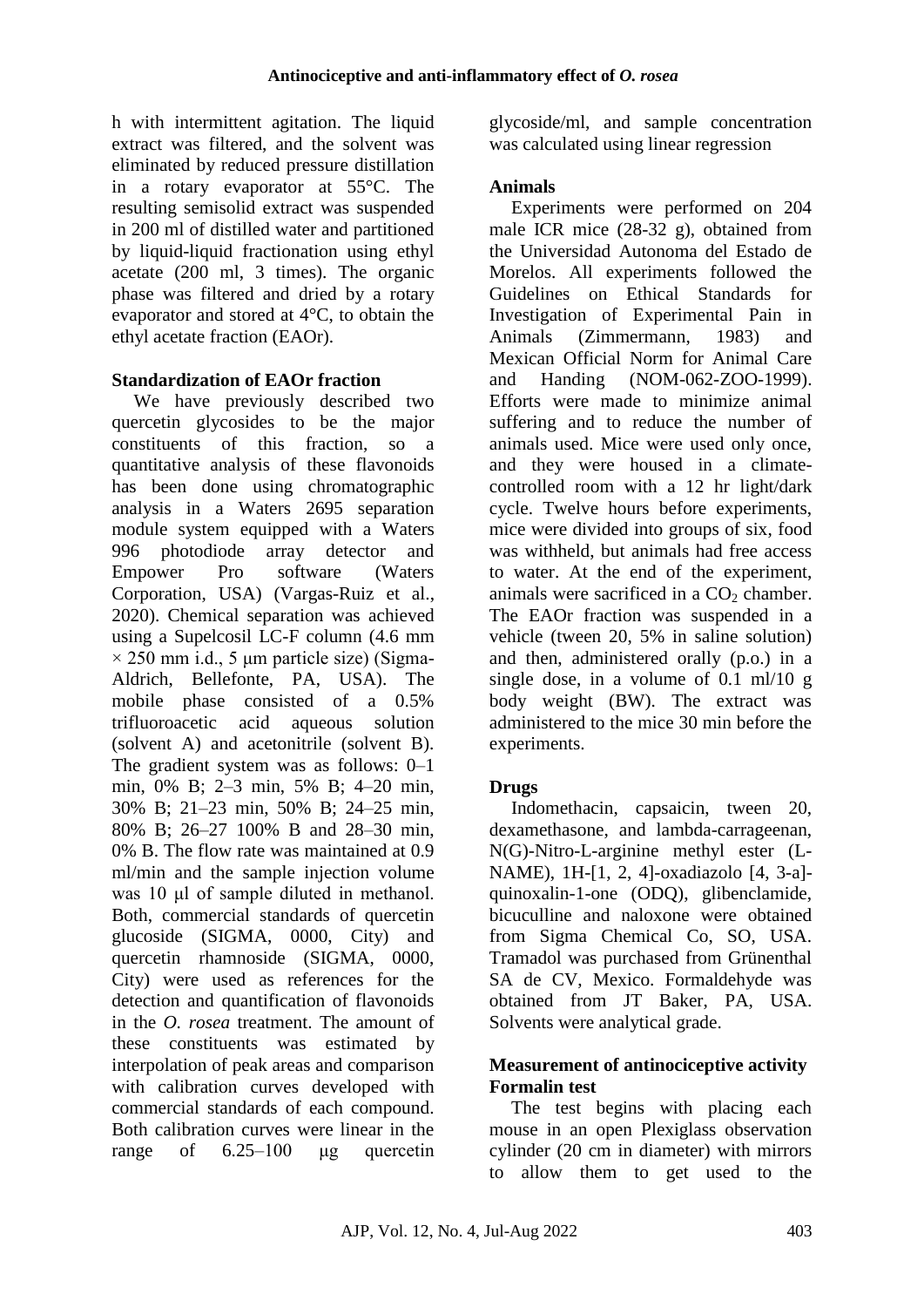h with intermittent agitation. The liquid extract was filtered, and the solvent was eliminated by reduced pressure distillation in a rotary evaporator at 55°C. The resulting semisolid extract was suspended in 200 ml of distilled water and partitioned by liquid-liquid fractionation using ethyl acetate (200 ml, 3 times). The organic phase was filtered and dried by a rotary evaporator and stored at 4°C, to obtain the ethyl acetate fraction (EAOr).

### **Standardization of EAOr fraction**

We have previously described two quercetin glycosides to be the major constituents of this fraction, so a quantitative analysis of these flavonoids has been done using chromatographic analysis in a Waters 2695 separation module system equipped with a Waters 996 photodiode array detector and Empower Pro software (Waters Corporation, USA) (Vargas-Ruiz et al., 2020). Chemical separation was achieved using a Supelcosil LC-F column (4.6 mm  $\times$  250 mm i.d., 5 µm particle size) (Sigma-Aldrich, Bellefonte, PA, USA). The mobile phase consisted of a 0.5% trifluoroacetic acid aqueous solution (solvent A) and acetonitrile (solvent B). The gradient system was as follows: 0–1 min, 0% B; 2–3 min, 5% B; 4–20 min, 30% B; 21–23 min, 50% B; 24–25 min, 80% B; 26–27 100% B and 28–30 min, 0% B. The flow rate was maintained at 0.9 ml/min and the sample injection volume was 10 μl of sample diluted in methanol. Both, commercial standards of quercetin glucoside (SIGMA, 0000, City) and quercetin rhamnoside (SIGMA, 0000, City) were used as references for the detection and quantification of flavonoids in the *O. rosea* treatment. The amount of these constituents was estimated by interpolation of peak areas and comparison with calibration curves developed with commercial standards of each compound. Both calibration curves were linear in the range of 6.25–100 μg quercetin

glycoside/ml, and sample concentration was calculated using linear regression

## **Animals**

Experiments were performed on 204 male ICR mice (28-32 g), obtained from the Universidad Autonoma del Estado de Morelos. All experiments followed the Guidelines on Ethical Standards for Investigation of Experimental Pain in Animals (Zimmermann, 1983) and Mexican Official Norm for Animal Care and Handing (NOM-062-ZOO-1999). Efforts were made to minimize animal suffering and to reduce the number of animals used. Mice were used only once, and they were housed in a climatecontrolled room with a 12 hr light/dark cycle. Twelve hours before experiments, mice were divided into groups of six, food was withheld, but animals had free access to water. At the end of the experiment, animals were sacrificed in a  $CO<sub>2</sub>$  chamber. The EAOr fraction was suspended in a vehicle (tween 20, 5% in saline solution) and then, administered orally (p.o.) in a single dose, in a volume of  $0.1 \text{ ml}/10 \text{ g}$ body weight (BW). The extract was administered to the mice 30 min before the experiments.

## **Drugs**

Indomethacin, capsaicin, tween 20, dexamethasone, and lambda-carrageenan, N(G)-Nitro-L-arginine methyl ester (L-NAME), 1H-[1, 2, 4]-oxadiazolo [4, 3-a] quinoxalin-1-one (ODQ), glibenclamide, bicuculline and naloxone were obtained from Sigma Chemical Co, SO, USA. Tramadol was purchased from Grünenthal SA de CV, Mexico. Formaldehyde was obtained from JT Baker, PA, USA. Solvents were analytical grade.

## **Measurement of antinociceptive activity Formalin test**

The test begins with placing each mouse in an open Plexiglass observation cylinder (20 cm in diameter) with mirrors to allow them to get used to the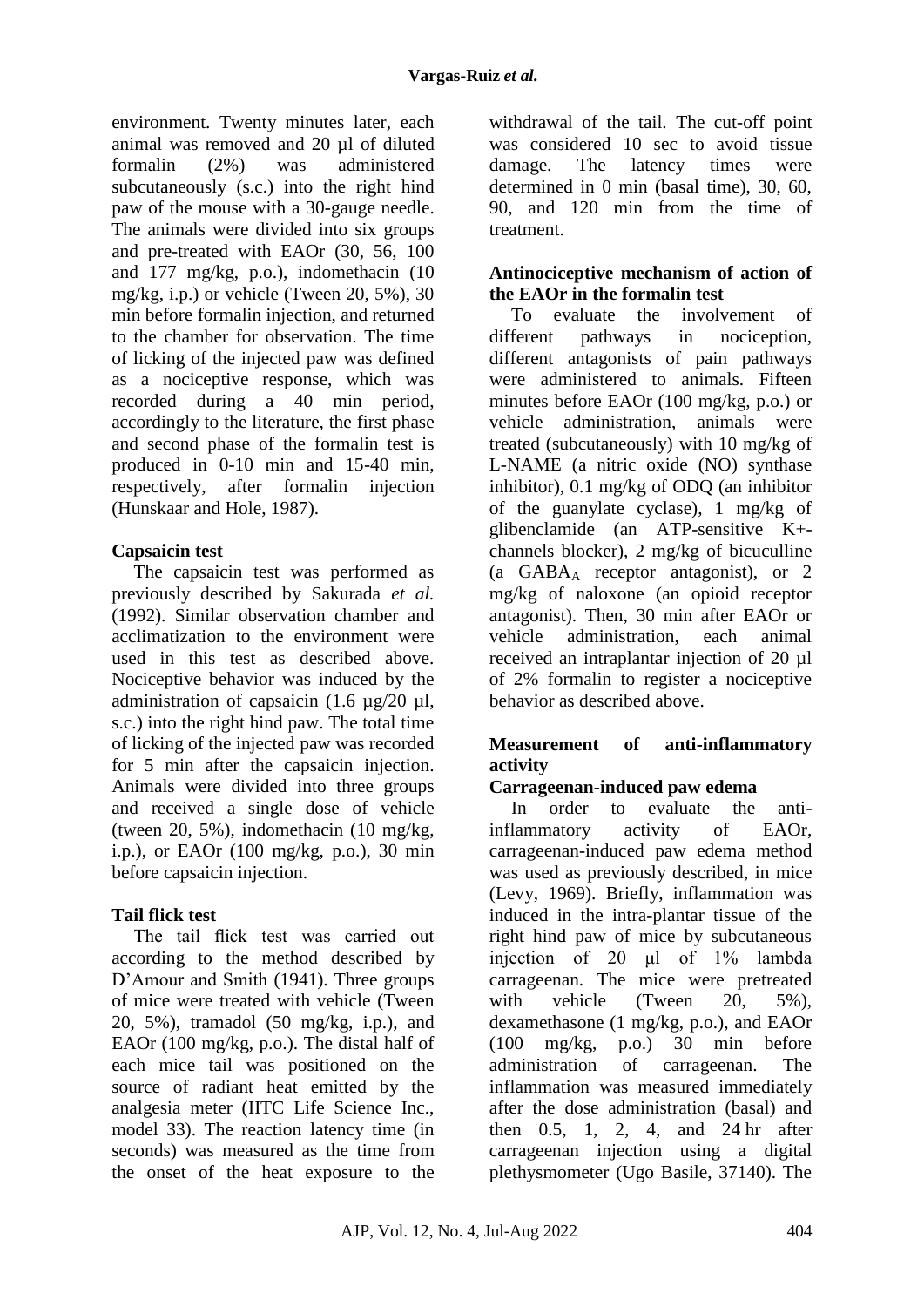environment. Twenty minutes later, each animal was removed and 20 µl of diluted formalin (2%) was administered subcutaneously (s.c.) into the right hind paw of the mouse with a 30-gauge needle. The animals were divided into six groups and pre-treated with EAOr (30, 56, 100 and 177 mg/kg, p.o.), indomethacin (10 mg/kg, i.p.) or vehicle (Tween 20, 5%), 30 min before formalin injection, and returned to the chamber for observation. The time of licking of the injected paw was defined as a nociceptive response, which was recorded during a 40 min period, accordingly to the literature, the first phase and second phase of the formalin test is produced in 0-10 min and 15-40 min, respectively, after formalin injection (Hunskaar and Hole, 1987).

## **Capsaicin test**

The capsaicin test was performed as previously described by Sakurada *et al.*  (1992). Similar observation chamber and acclimatization to the environment were used in this test as described above. Nociceptive behavior was induced by the administration of capsaicin (1.6  $\mu$ g/20  $\mu$ l, s.c.) into the right hind paw. The total time of licking of the injected paw was recorded for 5 min after the capsaicin injection. Animals were divided into three groups and received a single dose of vehicle (tween 20, 5%), indomethacin (10 mg/kg, i.p.), or EAOr (100 mg/kg, p.o.), 30 min before capsaicin injection.

## **Tail flick test**

The tail flick test was carried out according to the method described by D'Amour and Smith (1941). Three groups of mice were treated with vehicle (Tween 20, 5%), tramadol (50 mg/kg, i.p.), and EAOr (100 mg/kg, p.o.). The distal half of each mice tail was positioned on the source of radiant heat emitted by the analgesia meter (IITC Life Science Inc., model 33). The reaction latency time (in seconds) was measured as the time from the onset of the heat exposure to the withdrawal of the tail. The cut-off point was considered 10 sec to avoid tissue damage. The latency times were determined in 0 min (basal time), 30, 60, 90, and 120 min from the time of treatment.

### **Antinociceptive mechanism of action of the EAOr in the formalin test**

To evaluate the involvement of different pathways in nociception, different antagonists of pain pathways were administered to animals. Fifteen minutes before EAOr (100 mg/kg, p.o.) or vehicle administration, animals were treated (subcutaneously) with 10 mg/kg of L-NAME (a nitric oxide (NO) synthase inhibitor), 0.1 mg/kg of ODQ (an inhibitor of the guanylate cyclase), 1 mg/kg of glibenclamide (an ATP-sensitive K+ channels blocker), 2 mg/kg of bicuculline (a GABA<sup>A</sup> receptor antagonist), or 2 mg/kg of naloxone (an opioid receptor antagonist). Then, 30 min after EAOr or vehicle administration, each animal received an intraplantar injection of 20 µl of 2% formalin to register a nociceptive behavior as described above.

## **Measurement of anti-inflammatory activity**

## **Carrageenan-induced paw edema**

In order to evaluate the antiinflammatory activity of EAOr, carrageenan-induced paw edema method was used as previously described, in mice (Levy, 1969). Briefly, inflammation was induced in the intra-plantar tissue of the right hind paw of mice by subcutaneous injection of 20 μl of 1% lambda carrageenan. The mice were pretreated with vehicle (Tween 20, 5%). dexamethasone (1 mg/kg, p.o.), and EAOr (100 mg/kg, p.o.) 30 min before administration of carrageenan. The inflammation was measured immediately after the dose administration (basal) and then 0.5, 1, 2, 4, and 24 hr after carrageenan injection using a digital plethysmometer (Ugo Basile, 37140). The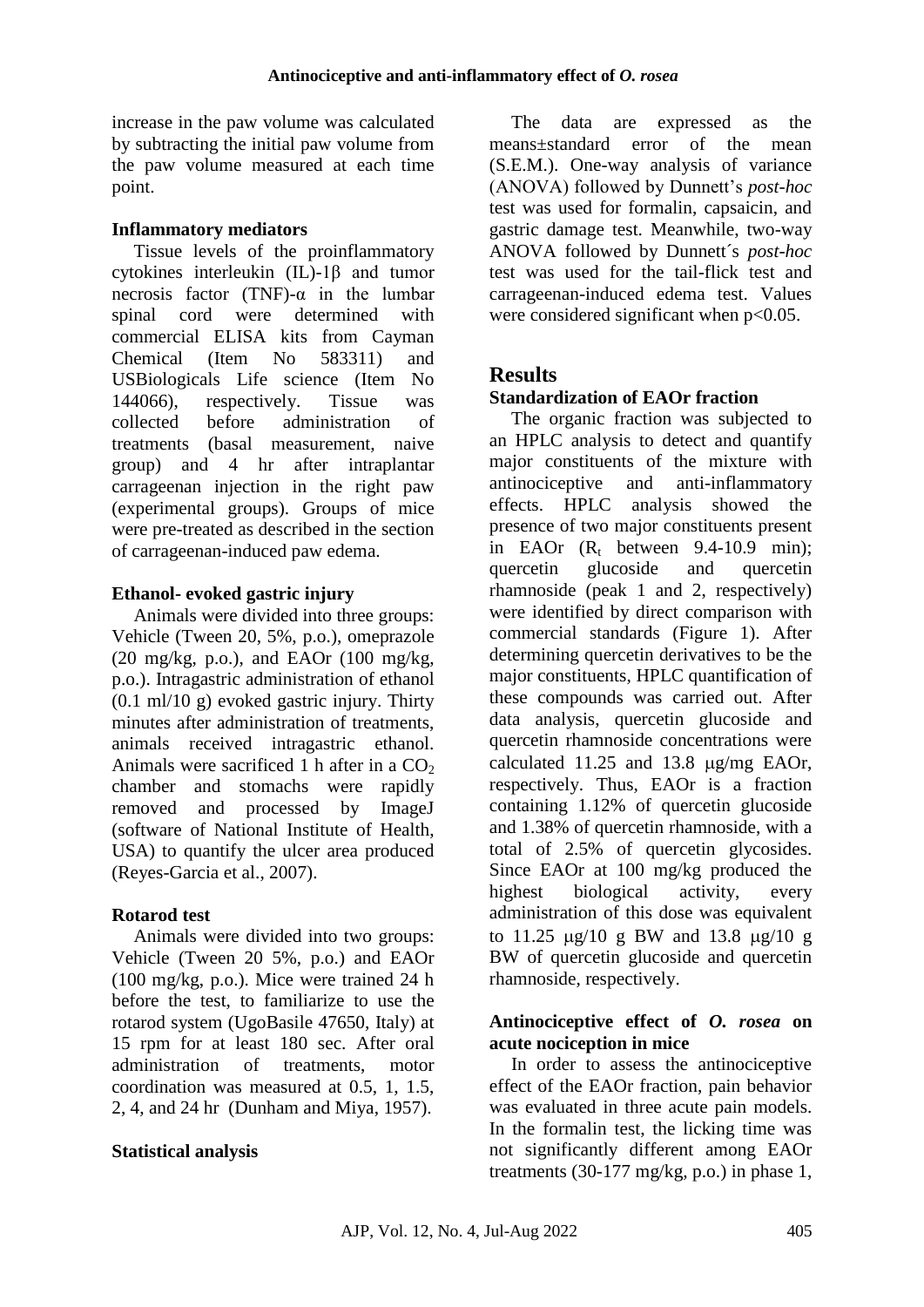increase in the paw volume was calculated by subtracting the initial paw volume from the paw volume measured at each time point.

#### **Inflammatory mediators**

Tissue levels of the proinflammatory cytokines interleukin (IL)-1β and tumor necrosis factor (TNF)- $\alpha$  in the lumbar spinal cord were determined with commercial ELISA kits from Cayman Chemical (Item No 583311) and USBiologicals Life science (Item No 144066), respectively. Tissue was collected before administration of treatments (basal measurement, naive group) and 4 hr after intraplantar carrageenan injection in the right paw (experimental groups). Groups of mice were pre-treated as described in the section of carrageenan-induced paw edema.

#### **Ethanol- evoked gastric injury**

Animals were divided into three groups: Vehicle (Tween 20, 5%, p.o.), omeprazole  $(20 \text{ mg/kg}, \text{ p.o.})$ , and EAOr  $(100 \text{ mg/kg}, \text{ g.})$ p.o.). Intragastric administration of ethanol (0.1 ml/10 g) evoked gastric injury. Thirty minutes after administration of treatments, animals received intragastric ethanol. Animals were sacrificed 1 h after in a  $CO<sub>2</sub>$ chamber and stomachs were rapidly removed and processed by ImageJ (software of National Institute of Health, USA) to quantify the ulcer area produced (Reyes-Garcia et al., 2007).

### **Rotarod test**

Animals were divided into two groups: Vehicle (Tween 20 5%, p.o.) and EAOr (100 mg/kg, p.o.). Mice were trained 24 h before the test, to familiarize to use the rotarod system (UgoBasile 47650, Italy) at 15 rpm for at least 180 sec. After oral administration of treatments motor coordination was measured at 0.5, 1, 1.5, 2, 4, and 24 hr (Dunham and Miya, 1957).

### **Statistical analysis**

The data are expressed as the means±standard error of the mean (S.E.M.). One-way analysis of variance (ANOVA) followed by Dunnett's *post-hoc* test was used for formalin, capsaicin, and gastric damage test. Meanwhile, two-way ANOVA followed by Dunnett´s *post-hoc* test was used for the tail-flick test and carrageenan-induced edema test. Values were considered significant when  $p<0.05$ .

## **Results**

### **Standardization of EAOr fraction**

The organic fraction was subjected to an HPLC analysis to detect and quantify major constituents of the mixture with antinociceptive and anti-inflammatory effects. HPLC analysis showed the presence of two major constituents present in EAOr  $(R_t$  between 9.4-10.9 min); quercetin glucoside and quercetin rhamnoside (peak 1 and 2, respectively) were identified by direct comparison with commercial standards (Figure 1). After determining quercetin derivatives to be the major constituents, HPLC quantification of these compounds was carried out. After data analysis, quercetin glucoside and quercetin rhamnoside concentrations were calculated  $11.25$  and  $13.8 \text{ µg/mg EADr}$ , respectively. Thus, EAOr is a fraction containing 1.12% of quercetin glucoside and 1.38% of quercetin rhamnoside, with a total of 2.5% of quercetin glycosides. Since EAOr at 100 mg/kg produced the highest biological activity, every administration of this dose was equivalent to  $11.25 \text{ µg}/10 \text{ g BW}$  and  $13.8 \text{ µg}/10 \text{ g}$ BW of quercetin glucoside and quercetin rhamnoside, respectively.

### **Antinociceptive effect of** *O. rosea* **on acute nociception in mice**

In order to assess the antinociceptive effect of the EAOr fraction, pain behavior was evaluated in three acute pain models. In the formalin test, the licking time was not significantly different among EAOr treatments  $(30-177 \text{ mg/kg}, \text{p.o.})$  in phase 1,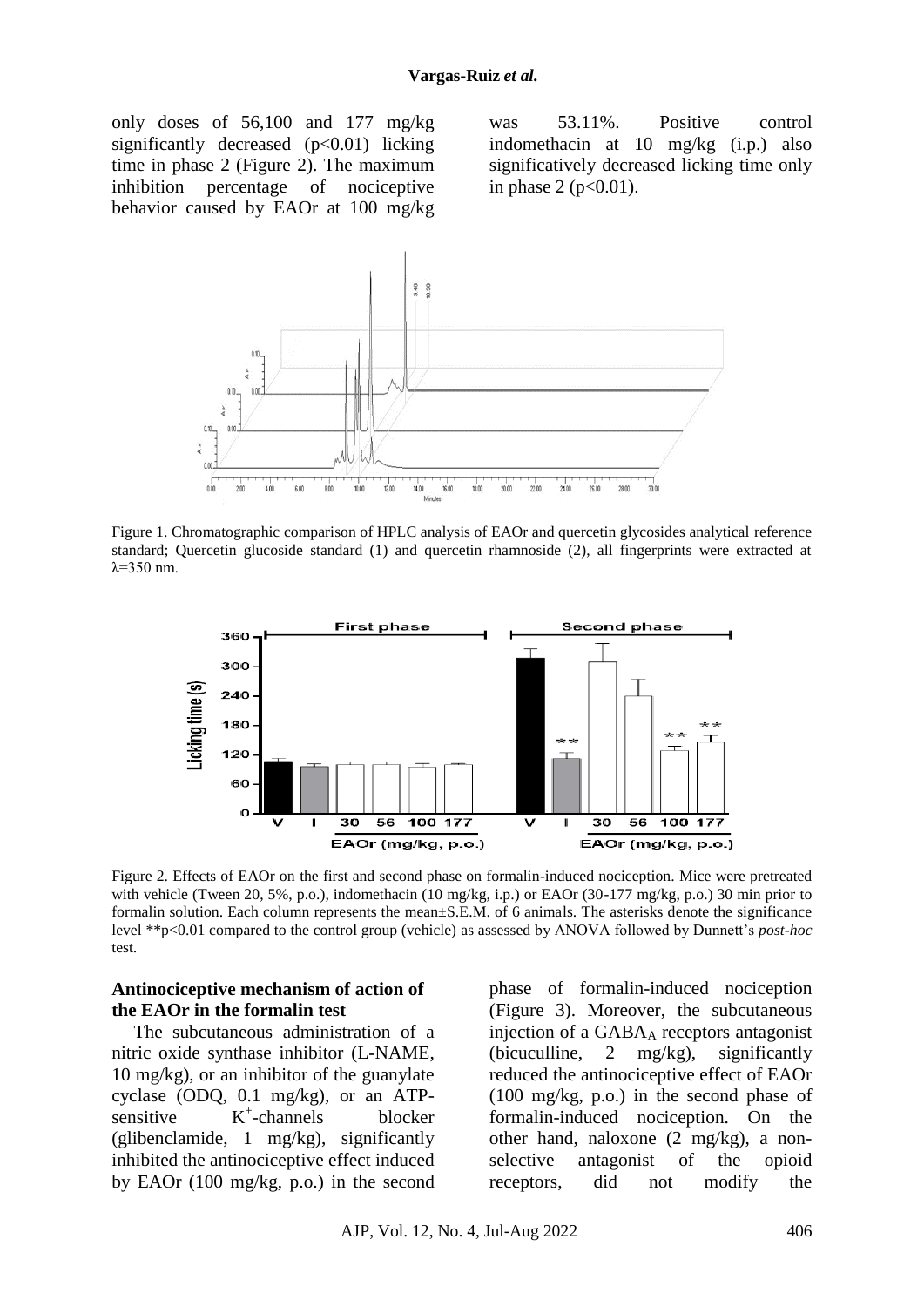only doses of 56,100 and 177 mg/kg significantly decreased  $(p<0.01)$  licking time in phase 2 (Figure 2). The maximum inhibition percentage of nociceptive behavior caused by EAOr at 100 mg/kg

was 53.11%. Positive control indomethacin at 10 mg/kg (i.p.) also significatively decreased licking time only in phase 2 ( $p < 0.01$ ).



Figure 1. Chromatographic comparison of HPLC analysis of EAOr and quercetin glycosides analytical reference standard; Quercetin glucoside standard (1) and quercetin rhamnoside (2), all fingerprints were extracted at  $λ=350$  nm.



Figure 2. Effects of EAOr on the first and second phase on formalin-induced nociception. Mice were pretreated with vehicle (Tween 20, 5%, p.o.), indomethacin (10 mg/kg, i.p.) or EAOr (30-177 mg/kg, p.o.) 30 min prior to formalin solution. Each column represents the mean±S.E.M. of 6 animals. The asterisks denote the significance level \*\*p<0.01 compared to the control group (vehicle) as assessed by ANOVA followed by Dunnett's *post-hoc* test.

#### **Antinociceptive mechanism of action of the EAOr in the formalin test**

The subcutaneous administration of a nitric oxide synthase inhibitor (L-NAME, 10 mg/kg), or an inhibitor of the guanylate cyclase (ODQ, 0.1 mg/kg), or an ATPsensitive  $K^+$ -channels blocker (glibenclamide, 1 mg/kg), significantly inhibited the antinociceptive effect induced by EAOr (100 mg/kg, p.o.) in the second

phase of formalin-induced nociception (Figure 3). Moreover, the subcutaneous injection of a  $GABA_A$  receptors antagonist (bicuculline, 2 mg/kg), significantly reduced the antinociceptive effect of EAOr (100 mg/kg, p.o.) in the second phase of formalin-induced nociception. On the other hand, naloxone (2 mg/kg), a nonselective antagonist of the opioid receptors, did not modify the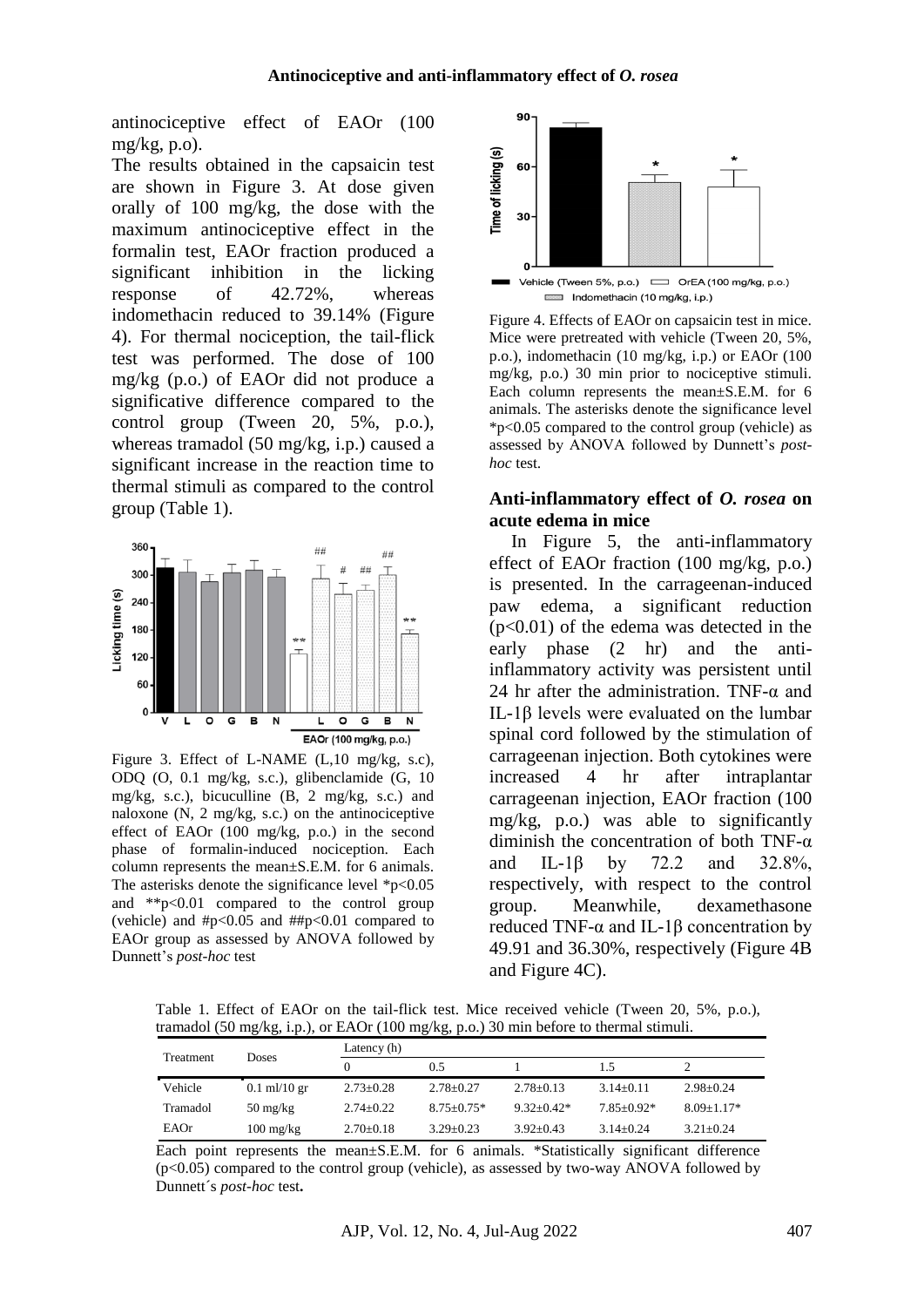antinociceptive effect of EAOr (100 mg/kg, p.o).

The results obtained in the capsaicin test are shown in Figure 3. At dose given orally of 100 mg/kg, the dose with the maximum antinociceptive effect in the formalin test, EAOr fraction produced a significant inhibition in the licking response of 42.72%, whereas indomethacin reduced to 39.14% (Figure 4). For thermal nociception, the tail-flick test was performed. The dose of 100 mg/kg (p.o.) of EAOr did not produce a significative difference compared to the control group (Tween 20, 5%, p.o.), whereas tramadol (50 mg/kg, i.p.) caused a significant increase in the reaction time to thermal stimuli as compared to the control group (Table 1).



Figure 3. Effect of L-NAME (L,10 mg/kg, s.c), ODQ (O, 0.1 mg/kg, s.c.), glibenclamide (G, 10 mg/kg, s.c.), bicuculline (B, 2 mg/kg, s.c.) and naloxone  $(N, 2 \text{ mg/kg}, s.c.)$  on the antinociceptive effect of EAOr (100 mg/kg, p.o.) in the second phase of formalin-induced nociception. Each column represents the mean±S.E.M. for 6 animals. The asterisks denote the significance level  $p<0.05$ and \*\*p<0.01 compared to the control group (vehicle) and  $\#p<0.05$  and  $\#tp<0.01$  compared to EAOr group as assessed by ANOVA followed by Dunnett's *post-hoc* test



Indomethacin (10 mg/kg, i.p.)

Figure 4. Effects of EAOr on capsaicin test in mice. Mice were pretreated with vehicle (Tween 20, 5%, p.o.), indomethacin (10 mg/kg, i.p.) or EAOr (100 mg/kg, p.o.) 30 min prior to nociceptive stimuli. Each column represents the mean±S.E.M. for 6 animals. The asterisks denote the significance level \*p<0.05 compared to the control group (vehicle) as assessed by ANOVA followed by Dunnett's *posthoc* test.

#### **Anti-inflammatory effect of** *O. rosea* **on acute edema in mice**

In Figure 5, the anti-inflammatory effect of EAOr fraction (100 mg/kg, p.o.) is presented. In the carrageenan-induced paw edema, a significant reduction (p<0.01) of the edema was detected in the early phase (2 hr) and the antiinflammatory activity was persistent until 24 hr after the administration. TNF- $\alpha$  and IL-1β levels were evaluated on the lumbar spinal cord followed by the stimulation of carrageenan injection. Both cytokines were increased 4 hr after intraplantar carrageenan injection, EAOr fraction (100 mg/kg, p.o.) was able to significantly diminish the concentration of both TNF-α and IL-1β by 72.2 and 32.8%, respectively, with respect to the control group. Meanwhile, dexamethasone reduced TNF-α and IL-1β concentration by 49.91 and 36.30%, respectively (Figure 4B and Figure 4C).

Table 1. Effect of EAOr on the tail-flick test. Mice received vehicle (Tween 20, 5%, p.o.), tramadol (50 mg/kg, i.p.), or EAOr (100 mg/kg, p.o.) 30 min before to thermal stimuli.

| Treatment | <b>Doses</b>                     | Latency $(h)$   |                 |               |               |                |
|-----------|----------------------------------|-----------------|-----------------|---------------|---------------|----------------|
|           |                                  |                 | 0.5             |               | 1.5           |                |
| Vehicle   | $0.1 \text{ ml}/10 \text{ gr}$   | $2.73 \pm 0.28$ | $2.78 \pm 0.27$ | $2.78 + 0.13$ | $3.14 + 0.11$ | $2.98 + 0.24$  |
| Tramadol  | $50 \frac{\text{mg}}{\text{kg}}$ | $2.74 + 0.22$   | $8.75 + 0.75*$  | $9.32+0.42*$  | $7.85+0.92*$  | $8.09 + 1.17*$ |
| EAOr      | $100 \text{ mg/kg}$              | $2.70+0.18$     | $3.29 \pm 0.23$ | $3.92 + 0.43$ | $3.14 + 0.24$ | $3.21 + 0.24$  |

Each point represents the mean±S.E.M. for 6 animals. \*Statistically significant difference (p<0.05) compared to the control group (vehicle), as assessed by two-way ANOVA followed by Dunnett´s *post-hoc* test**.**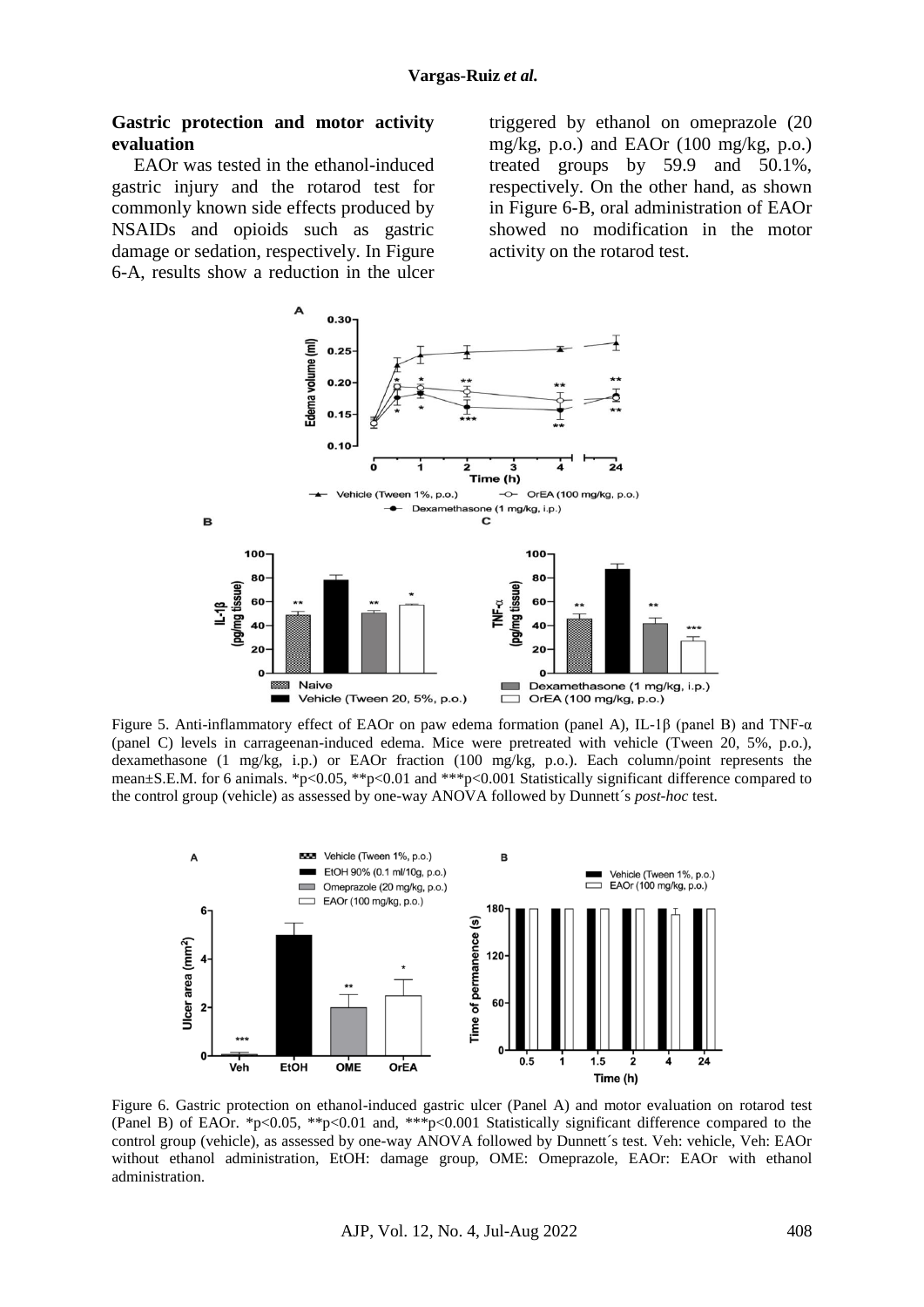#### **Gastric protection and motor activity evaluation**

EAOr was tested in the ethanol-induced gastric injury and the rotarod test for commonly known side effects produced by NSAIDs and opioids such as gastric damage or sedation, respectively. In Figure 6-A, results show a reduction in the ulcer

triggered by ethanol on omeprazole (20 mg/kg, p.o.) and EAOr  $(100 \text{ mg/kg}, \text{p.o.})$ treated groups by 59.9 and 50.1%, respectively. On the other hand, as shown in Figure 6-B, oral administration of EAOr showed no modification in the motor activity on the rotarod test.



Figure 5. Anti-inflammatory effect of EAOr on paw edema formation (panel A), IL-1β (panel B) and TNF-α (panel C) levels in carrageenan-induced edema. Mice were pretreated with vehicle (Tween 20, 5%, p.o.), dexamethasone (1 mg/kg, i.p.) or EAOr fraction (100 mg/kg, p.o.). Each column/point represents the mean±S.E.M. for 6 animals. \*p<0.05, \*\*p<0.01 and \*\*\*p<0.001 Statistically significant difference compared to the control group (vehicle) as assessed by one-way ANOVA followed by Dunnett´s *post-hoc* test.



Figure 6. Gastric protection on ethanol-induced gastric ulcer (Panel A) and motor evaluation on rotarod test (Panel B) of EAOr. \*p<0.05, \*\*p<0.01 and, \*\*\*p<0.001 Statistically significant difference compared to the control group (vehicle), as assessed by one-way ANOVA followed by Dunnett´s test. Veh: vehicle, Veh: EAOr without ethanol administration, EtOH: damage group, OME: Omeprazole, EAOr: EAOr with ethanol administration.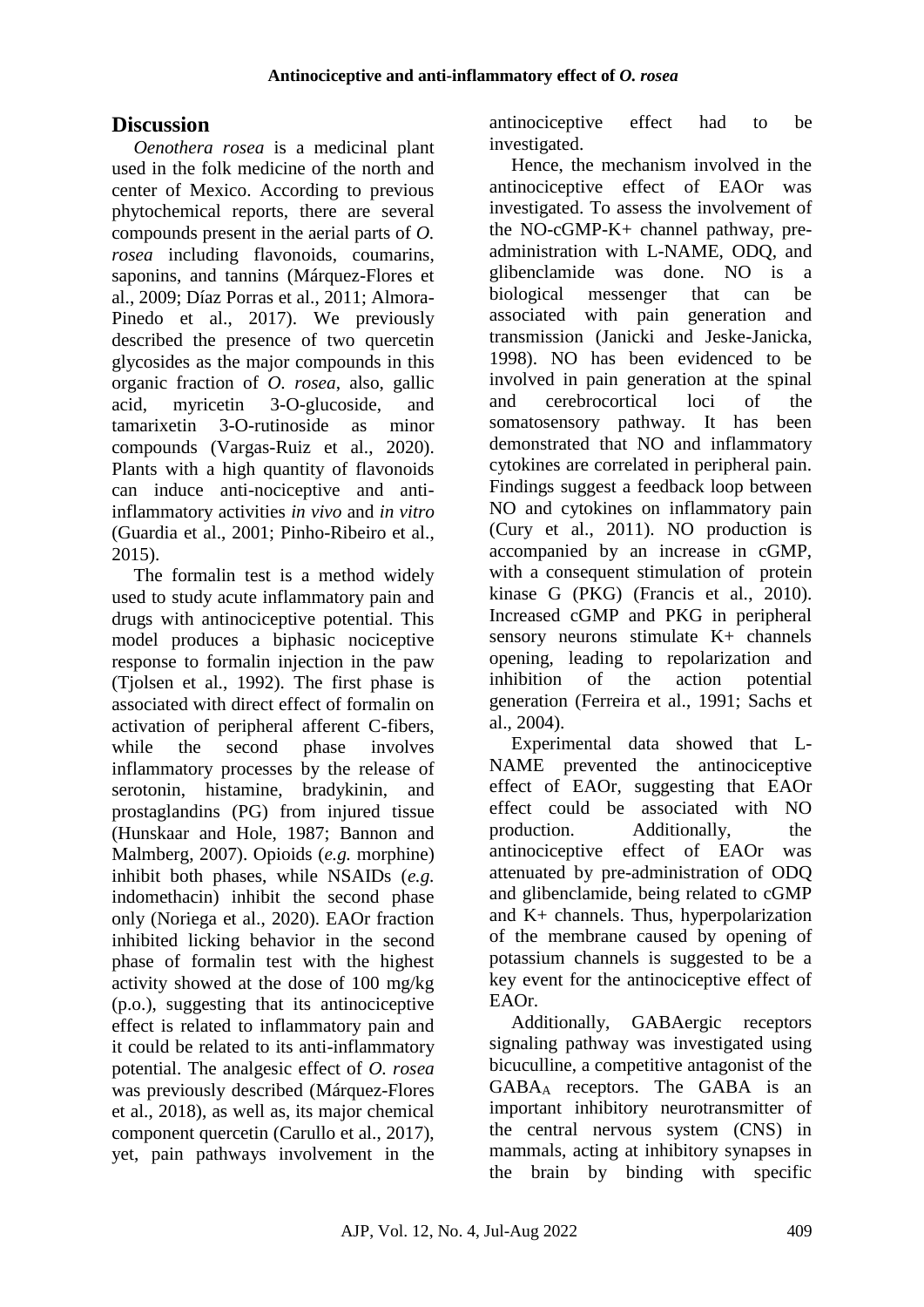# **Discussion**

*Oenothera rosea* is a medicinal plant used in the folk medicine of the north and center of Mexico. According to previous phytochemical reports, there are several compounds present in the aerial parts of *O. rosea* including flavonoids, coumarins, saponins, and tannins (Márquez-Flores et al., 2009; Díaz Porras et al., 2011; Almora-Pinedo et al., 2017). We previously described the presence of two quercetin glycosides as the major compounds in this organic fraction of *O. rosea*, also, gallic acid, myricetin 3-O-glucoside, and tamarixetin 3-O-rutinoside as minor compounds (Vargas-Ruiz et al., 2020). Plants with a high quantity of flavonoids can induce anti-nociceptive and antiinflammatory activities *in vivo* and *in vitro* (Guardia et al., 2001; Pinho-Ribeiro et al., 2015).

The formalin test is a method widely used to study acute inflammatory pain and drugs with antinociceptive potential. This model produces a biphasic nociceptive response to formalin injection in the paw (Tjolsen et al., 1992). The first phase is associated with direct effect of formalin on activation of peripheral afferent C-fibers, while the second phase involves inflammatory processes by the release of serotonin, histamine, bradykinin, and prostaglandins (PG) from injured tissue (Hunskaar and Hole, 1987; Bannon and Malmberg, 2007). Opioids (*e.g.* morphine) inhibit both phases, while NSAIDs (*e.g.*  indomethacin) inhibit the second phase only (Noriega et al., 2020). EAOr fraction inhibited licking behavior in the second phase of formalin test with the highest activity showed at the dose of 100 mg/kg (p.o.), suggesting that its antinociceptive effect is related to inflammatory pain and it could be related to its anti-inflammatory potential. The analgesic effect of *O. rosea*  was previously described (Márquez-Flores et al., 2018), as well as, its major chemical component quercetin (Carullo et al., 2017), yet, pain pathways involvement in the antinociceptive effect had to be investigated.

Hence, the mechanism involved in the antinociceptive effect of EAOr was investigated. To assess the involvement of the NO-cGMP-K+ channel pathway, preadministration with L-NAME, ODQ, and glibenclamide was done. NO is a biological messenger that can be associated with pain generation and transmission (Janicki and Jeske-Janicka, 1998). NO has been evidenced to be involved in pain generation at the spinal and cerebrocortical loci of the somatosensory pathway. It has been demonstrated that NO and inflammatory cytokines are correlated in peripheral pain. Findings suggest a feedback loop between NO and cytokines on inflammatory pain (Cury et al., 2011). NO production is accompanied by an increase in cGMP, with a consequent stimulation of protein kinase G (PKG) (Francis et al., 2010). Increased cGMP and PKG in peripheral sensory neurons stimulate K+ channels opening, leading to repolarization and inhibition of the action potential generation (Ferreira et al., 1991; Sachs et al., 2004).

Experimental data showed that L-NAME prevented the antinociceptive effect of EAOr, suggesting that EAOr effect could be associated with NO production. Additionally, the antinociceptive effect of EAOr was attenuated by pre-administration of ODQ and glibenclamide, being related to cGMP and K+ channels. Thus, hyperpolarization of the membrane caused by opening of potassium channels is suggested to be a key event for the antinociceptive effect of EAOr.

Additionally, GABAergic receptors signaling pathway was investigated using bicuculline, a competitive antagonist of the GABA<sup>A</sup> receptors. The GABA is an important inhibitory neurotransmitter of the central nervous system (CNS) in mammals, acting at inhibitory synapses in the brain by binding with specific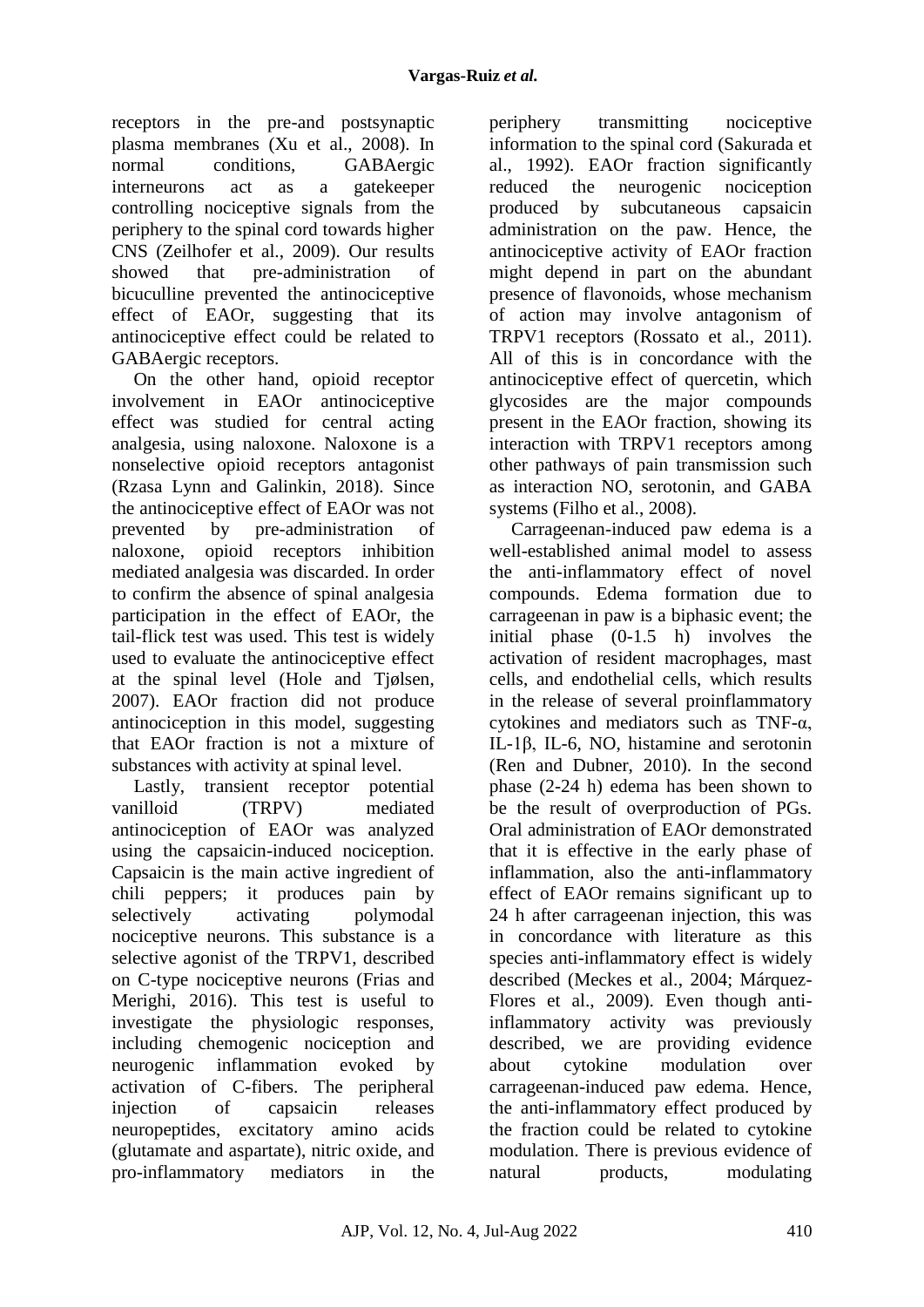receptors in the pre-and postsynaptic plasma membranes (Xu et al., 2008). In<br>normal conditions GABAeroic normal conditions. GABAergic interneurons act as a gatekeeper controlling nociceptive signals from the periphery to the spinal cord towards higher CNS (Zeilhofer et al., 2009). Our results showed that pre-administration of bicuculline prevented the antinociceptive effect of EAOr, suggesting that its antinociceptive effect could be related to GABAergic receptors.

On the other hand, opioid receptor involvement in EAOr antinociceptive effect was studied for central acting analgesia, using naloxone. Naloxone is a nonselective opioid receptors antagonist (Rzasa Lynn and Galinkin, 2018). Since the antinociceptive effect of EAOr was not prevented by pre-administration of naloxone, opioid receptors inhibition mediated analgesia was discarded. In order to confirm the absence of spinal analgesia participation in the effect of EAOr, the tail-flick test was used. This test is widely used to evaluate the antinociceptive effect at the spinal level (Hole and Tjølsen, 2007). EAOr fraction did not produce antinociception in this model, suggesting that EAOr fraction is not a mixture of substances with activity at spinal level.

Lastly, transient receptor potential vanilloid (TRPV) mediated antinociception of EAOr was analyzed using the capsaicin-induced nociception. Capsaicin is the main active ingredient of chili peppers; it produces pain by selectively activating polymodal nociceptive neurons. This substance is a selective agonist of the TRPV1, described on C-type nociceptive neurons (Frias and Merighi, 2016). This test is useful to investigate the physiologic responses, including chemogenic nociception and neurogenic inflammation evoked by activation of C-fibers. The peripheral injection of capsaicin releases neuropeptides, excitatory amino acids (glutamate and aspartate), nitric oxide, and pro-inflammatory mediators in the

periphery transmitting nociceptive information to the spinal cord (Sakurada et al., 1992). EAOr fraction significantly reduced the neurogenic nociception produced by subcutaneous capsaicin administration on the paw. Hence, the antinociceptive activity of EAOr fraction might depend in part on the abundant presence of flavonoids, whose mechanism of action may involve antagonism of TRPV1 receptors (Rossato et al., 2011). All of this is in concordance with the antinociceptive effect of quercetin, which glycosides are the major compounds present in the EAOr fraction, showing its interaction with TRPV1 receptors among other pathways of pain transmission such as interaction NO, serotonin, and GABA systems (Filho et al., 2008).

Carrageenan-induced paw edema is a well-established animal model to assess the anti-inflammatory effect of novel compounds. Edema formation due to carrageenan in paw is a biphasic event; the initial phase (0-1.5 h) involves the activation of resident macrophages, mast cells, and endothelial cells, which results in the release of several proinflammatory cytokines and mediators such as TNF-α, IL-1β, IL-6, NO, histamine and serotonin (Ren and Dubner, 2010). In the second phase (2-24 h) edema has been shown to be the result of overproduction of PGs. Oral administration of EAOr demonstrated that it is effective in the early phase of inflammation, also the anti-inflammatory effect of EAOr remains significant up to 24 h after carrageenan injection, this was in concordance with literature as this species anti-inflammatory effect is widely described (Meckes et al., 2004; Márquez-Flores et al., 2009). Even though antiinflammatory activity was previously described, we are providing evidence about cytokine modulation over carrageenan-induced paw edema. Hence, the anti-inflammatory effect produced by the fraction could be related to cytokine modulation. There is previous evidence of natural products, modulating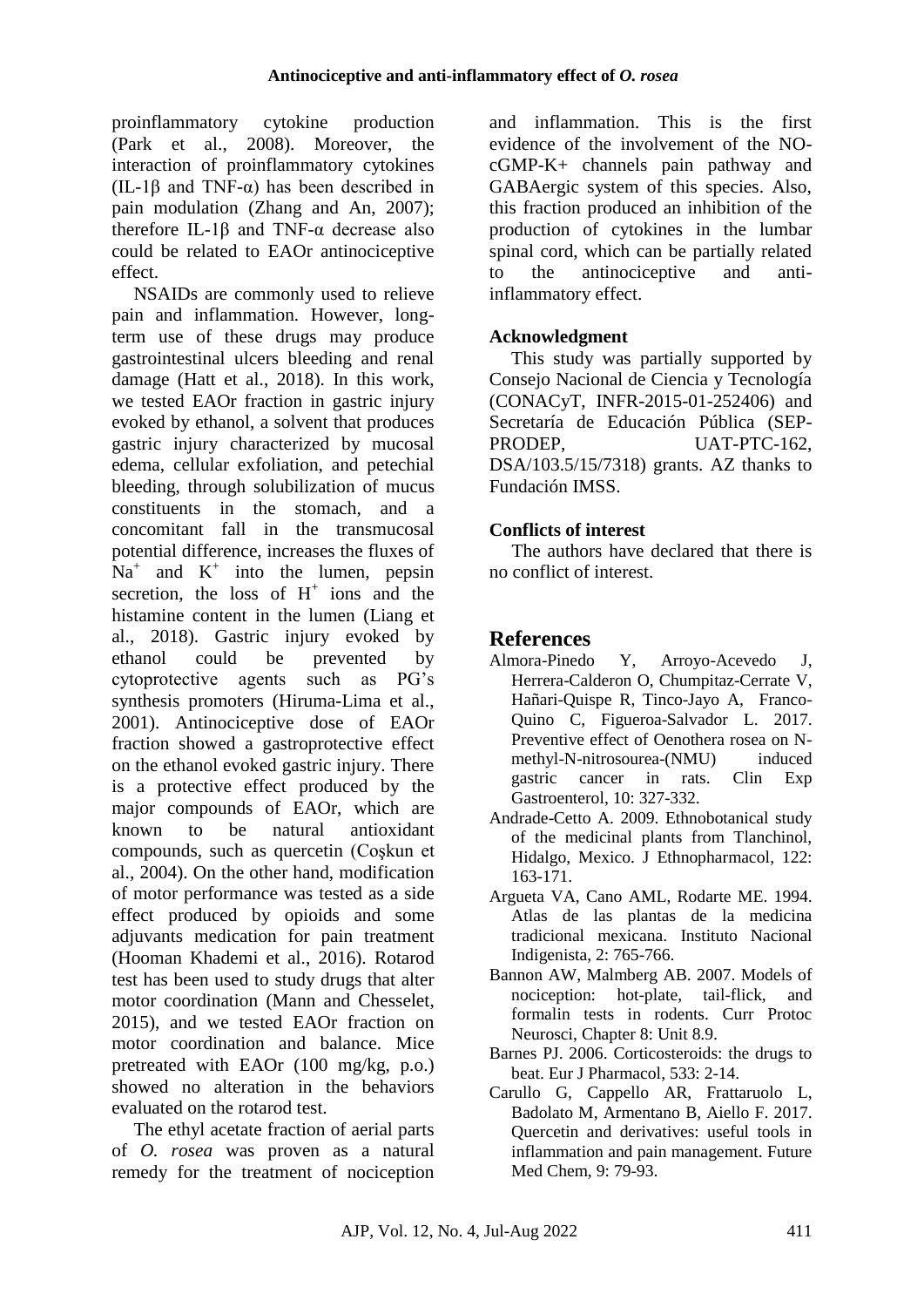proinflammatory cytokine production (Park et al., 2008). Moreover, the interaction of proinflammatory cytokines (IL-1 $\beta$  and TNF- $\alpha$ ) has been described in pain modulation (Zhang and An, 2007); therefore IL-1 $\beta$  and TNF- $\alpha$  decrease also could be related to EAOr antinociceptive effect.

NSAIDs are commonly used to relieve pain and inflammation. However, longterm use of these drugs may produce gastrointestinal ulcers bleeding and renal damage (Hatt et al., 2018). In this work, we tested EAOr fraction in gastric injury evoked by ethanol, a solvent that produces gastric injury characterized by mucosal edema, cellular exfoliation, and petechial bleeding, through solubilization of mucus constituents in the stomach, and a concomitant fall in the transmucosal potential difference, increases the fluxes of  $Na<sup>+</sup>$  and  $K<sup>+</sup>$  into the lumen, pepsin secretion, the loss of  $H^+$  ions and the histamine content in the lumen (Liang et al., 2018). Gastric injury evoked by ethanol could be prevented by cytoprotective agents such as PG's synthesis promoters (Hiruma-Lima et al., 2001). Antinociceptive dose of EAOr fraction showed a gastroprotective effect on the ethanol evoked gastric injury. There is a protective effect produced by the major compounds of EAOr, which are known to be natural antioxidant compounds, such as quercetin (Coşkun et al., 2004). On the other hand, modification of motor performance was tested as a side effect produced by opioids and some adjuvants medication for pain treatment (Hooman Khademi et al., 2016). Rotarod test has been used to study drugs that alter motor coordination (Mann and Chesselet, 2015), and we tested EAOr fraction on motor coordination and balance. Mice pretreated with EAOr (100 mg/kg, p.o.) showed no alteration in the behaviors evaluated on the rotarod test.

The ethyl acetate fraction of aerial parts of *O. rosea* was proven as a natural remedy for the treatment of nociception

and inflammation. This is the first evidence of the involvement of the NOcGMP-K+ channels pain pathway and GABAergic system of this species. Also, this fraction produced an inhibition of the production of cytokines in the lumbar spinal cord, which can be partially related to the antinociceptive and antiinflammatory effect.

## **Acknowledgment**

This study was partially supported by Consejo Nacional de Ciencia y Tecnología (CONACyT, INFR-2015-01-252406) and Secretaría de Educación Pública (SEP-PRODEP, UAT-PTC-162, DSA/103.5/15/7318) grants. AZ thanks to Fundación IMSS.

#### **Conflicts of interest**

The authors have declared that there is no conflict of interest.

## **References**

- Almora-Pinedo Y, Arroyo-Acevedo J, Herrera-Calderon O, Chumpitaz-Cerrate V, Hañari-Quispe R, Tinco-Jayo A, Franco-Quino C, Figueroa-Salvador L. 2017. Preventive effect of Oenothera rosea on Nmethyl-N-nitrosourea-(NMU) induced gastric cancer in rats. Clin Exp Gastroenterol, 10: 327-332.
- Andrade-Cetto A. 2009. Ethnobotanical study of the medicinal plants from Tlanchinol, Hidalgo, Mexico. J Ethnopharmacol, 122: 163-171.
- Argueta VA, Cano AML, Rodarte ME. 1994. Atlas de las plantas de la medicina tradicional mexicana. Instituto Nacional Indigenista, 2: 765-766.
- Bannon AW, Malmberg AB. 2007. Models of nociception: hot-plate, tail-flick, and formalin tests in rodents. Curr Protoc Neurosci, Chapter 8: Unit 8.9.
- Barnes PJ. 2006. Corticosteroids: the drugs to beat. Eur J Pharmacol, 533: 2-14.
- Carullo G, Cappello AR, Frattaruolo L, Badolato M, Armentano B, Aiello F. 2017. Quercetin and derivatives: useful tools in inflammation and pain management. Future Med Chem, 9: 79-93.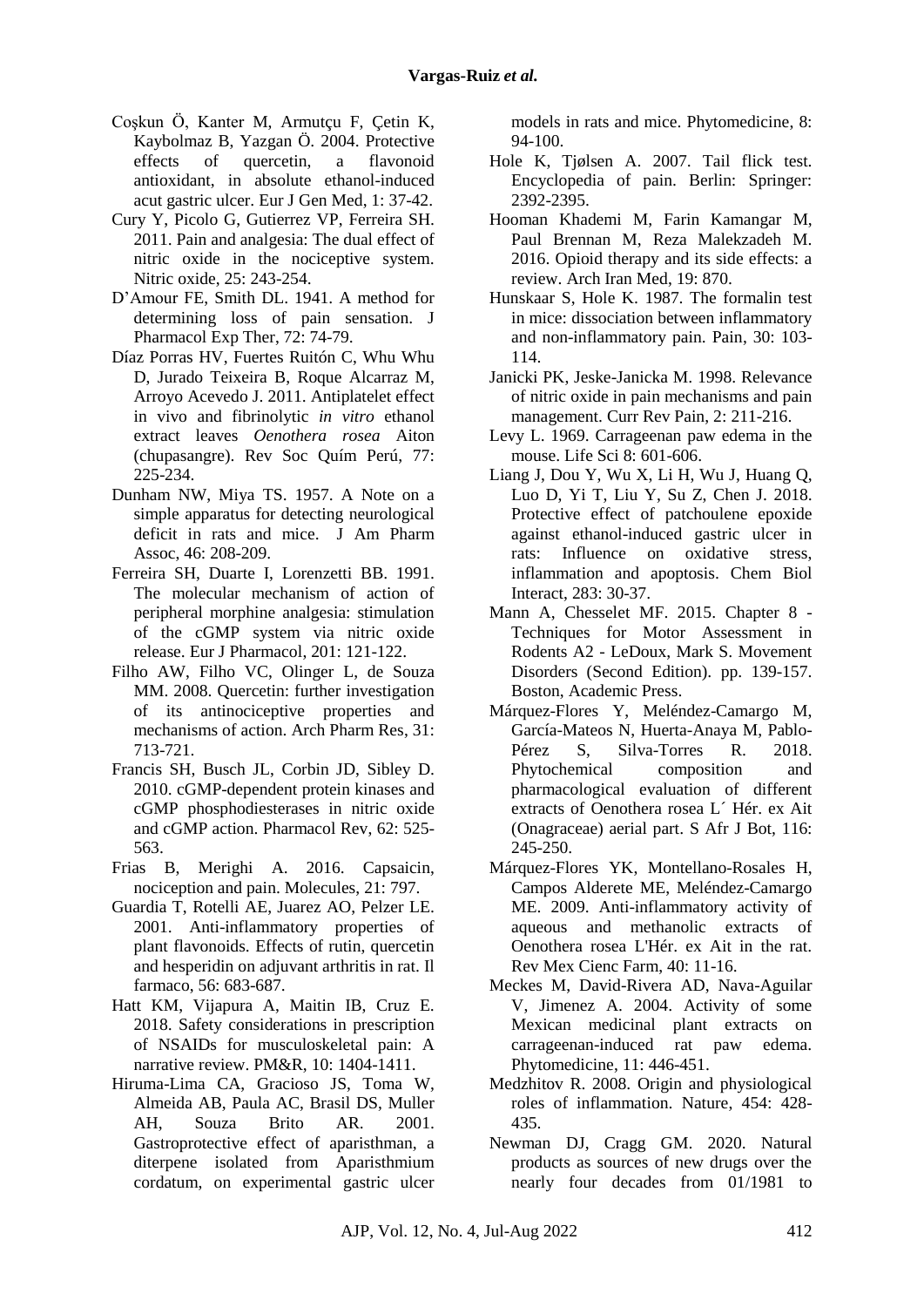- Coşkun Ö, Kanter M, Armutçu F, Çetin K, Kaybolmaz B, Yazgan Ö. 2004. Protective effects of quercetin, a flavonoid antioxidant, in absolute ethanol-induced acut gastric ulcer. Eur J Gen Med, 1: 37-42.
- Cury Y, Picolo G, Gutierrez VP, Ferreira SH. 2011. Pain and analgesia: The dual effect of nitric oxide in the nociceptive system. Nitric oxide, 25: 243-254.
- D'Amour FE, Smith DL. 1941. A method for determining loss of pain sensation. J Pharmacol Exp Ther, 72: 74-79.
- Díaz Porras HV, Fuertes Ruitón C, Whu Whu D, Jurado Teixeira B, Roque Alcarraz M, Arroyo Acevedo J. 2011. Antiplatelet effect in vivo and fibrinolytic *in vitro* ethanol extract leaves *Oenothera rosea* Aiton (chupasangre). Rev Soc Quím Perú, 77: 225-234.
- Dunham NW, Miya TS. 1957. A Note on a simple apparatus for detecting neurological deficit in rats and mice. J Am Pharm Assoc, 46: 208-209.
- Ferreira SH, Duarte I, Lorenzetti BB. 1991. The molecular mechanism of action of peripheral morphine analgesia: stimulation of the cGMP system via nitric oxide release. Eur J Pharmacol, 201: 121-122.
- Filho AW, Filho VC, Olinger L, de Souza MM. 2008. Quercetin: further investigation of its antinociceptive properties and mechanisms of action. Arch Pharm Res, 31: 713-721.
- Francis SH, Busch JL, Corbin JD, Sibley D. 2010. cGMP-dependent protein kinases and cGMP phosphodiesterases in nitric oxide and cGMP action. Pharmacol Rev, 62: 525- 563.
- Frias B, Merighi A. 2016. Capsaicin, nociception and pain. Molecules, 21: 797.
- Guardia T, Rotelli AE, Juarez AO, Pelzer LE. 2001. Anti-inflammatory properties of plant flavonoids. Effects of rutin, quercetin and hesperidin on adjuvant arthritis in rat. Il farmaco, 56: 683-687.
- Hatt KM, Vijapura A, Maitin IB, Cruz E. 2018. Safety considerations in prescription of NSAIDs for musculoskeletal pain: A narrative review. PM&R, 10: 1404-1411.
- Hiruma-Lima CA, Gracioso JS, Toma W, Almeida AB, Paula AC, Brasil DS, Muller AH, Souza Brito AR. 2001. Gastroprotective effect of aparisthman, a diterpene isolated from Aparisthmium cordatum, on experimental gastric ulcer

models in rats and mice. Phytomedicine, 8: 94-100.

- Hole K, Tjølsen A. 2007. Tail flick test. Encyclopedia of pain. Berlin: Springer: 2392-2395.
- Hooman Khademi M, Farin Kamangar M, Paul Brennan M, Reza Malekzadeh M. 2016. Opioid therapy and its side effects: a review. Arch Iran Med, 19: 870.
- Hunskaar S, Hole K. 1987. The formalin test in mice: dissociation between inflammatory and non-inflammatory pain. Pain, 30: 103- 114.
- Janicki PK, Jeske-Janicka M. 1998. Relevance of nitric oxide in pain mechanisms and pain management. Curr Rev Pain, 2: 211-216.
- Levy L. 1969. Carrageenan paw edema in the mouse. Life Sci 8: 601-606.
- Liang J, Dou Y, Wu X, Li H, Wu J, Huang Q, Luo D, Yi T, Liu Y, Su Z, Chen J. 2018. Protective effect of patchoulene epoxide against ethanol-induced gastric ulcer in rats: Influence on oxidative stress, inflammation and apoptosis. Chem Biol Interact, 283: 30-37.
- Mann A, Chesselet MF. 2015. Chapter 8 Techniques for Motor Assessment in Rodents A2 - LeDoux, Mark S. Movement Disorders (Second Edition). pp. 139-157. Boston, Academic Press.
- Márquez-Flores Y, Meléndez-Camargo M, García-Mateos N, Huerta-Anaya M, Pablo-Pérez S, Silva-Torres R. 2018. Phytochemical composition and pharmacological evaluation of different extracts of Oenothera rosea L´ Hér. ex Ait (Onagraceae) aerial part. S Afr J Bot, 116: 245-250.
- Márquez-Flores YK, Montellano-Rosales H, Campos Alderete ME, Meléndez-Camargo ME. 2009. Anti-inflammatory activity of aqueous and methanolic extracts of Oenothera rosea L'Hér. ex Ait in the rat. Rev Mex Cienc Farm, 40: 11-16.
- Meckes M, David-Rivera AD, Nava-Aguilar V, Jimenez A. 2004. Activity of some Mexican medicinal plant extracts on carrageenan-induced rat paw edema. Phytomedicine, 11: 446-451.
- Medzhitov R. 2008. Origin and physiological roles of inflammation. Nature, 454: 428- 435.
- Newman DJ, Cragg GM. 2020. Natural products as sources of new drugs over the nearly four decades from 01/1981 to